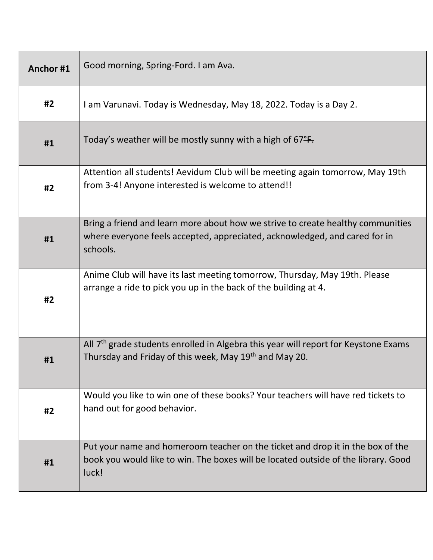| Anchor#1 | Good morning, Spring-Ford. I am Ava.                                                                                                                                          |
|----------|-------------------------------------------------------------------------------------------------------------------------------------------------------------------------------|
| #2       | I am Varunavi. Today is Wednesday, May 18, 2022. Today is a Day 2.                                                                                                            |
| #1       | Today's weather will be mostly sunny with a high of $67^{\circ}$ .                                                                                                            |
| #2       | Attention all students! Aevidum Club will be meeting again tomorrow, May 19th<br>from 3-4! Anyone interested is welcome to attend!!                                           |
| #1       | Bring a friend and learn more about how we strive to create healthy communities<br>where everyone feels accepted, appreciated, acknowledged, and cared for in<br>schools.     |
| #2       | Anime Club will have its last meeting tomorrow, Thursday, May 19th. Please<br>arrange a ride to pick you up in the back of the building at 4.                                 |
| #1       | All $7th$ grade students enrolled in Algebra this year will report for Keystone Exams<br>Thursday and Friday of this week, May 19 <sup>th</sup> and May 20.                   |
| #2       | Would you like to win one of these books? Your teachers will have red tickets to<br>hand out for good behavior.                                                               |
| #1       | Put your name and homeroom teacher on the ticket and drop it in the box of the<br>book you would like to win. The boxes will be located outside of the library. Good<br>luck! |